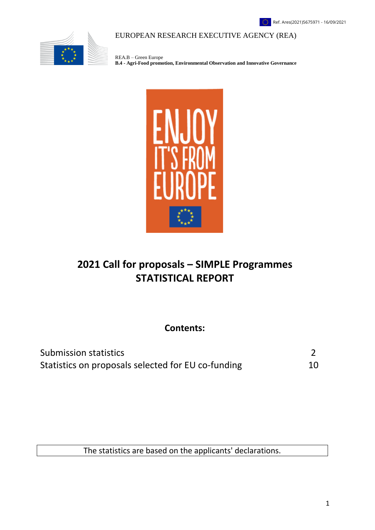

#### EUROPEAN RESEARCH EXECUTIVE AGENCY (REA)

REA.B – Green Europe **B.4 - Agri-Food promotion, Environmental Observation and Innovative Governance**



## **2021 Call for proposals – SIMPLE Programmes STATISTICAL REPORT**

**Contents:**

| <b>Submission statistics</b>                       |    |
|----------------------------------------------------|----|
| Statistics on proposals selected for EU co-funding | 10 |

The statistics are based on the applicants' declarations.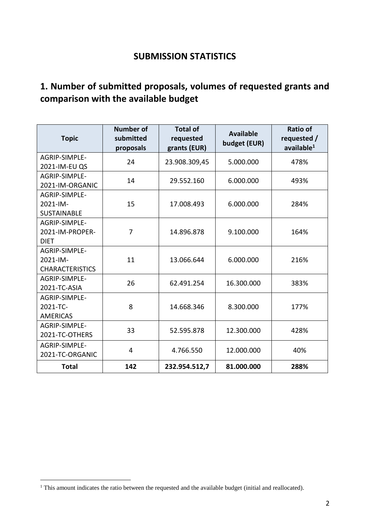#### **SUBMISSION STATISTICS**

#### <span id="page-1-0"></span>**1. Number of submitted proposals, volumes of requested grants and comparison with the available budget**

| <b>Topic</b>                     | <b>Number of</b><br>submitted<br>proposals | <b>Total of</b><br>requested<br>grants (EUR) | <b>Available</b><br>budget (EUR) | <b>Ratio of</b><br>requested /<br>available $1$ |
|----------------------------------|--------------------------------------------|----------------------------------------------|----------------------------------|-------------------------------------------------|
| AGRIP-SIMPLE-                    | 24                                         | 23.908.309,45                                | 5.000.000                        | 478%                                            |
| 2021-IM-EU QS                    |                                            |                                              |                                  |                                                 |
| AGRIP-SIMPLE-<br>2021-IM-ORGANIC | 14                                         | 29.552.160                                   | 6.000.000                        | 493%                                            |
| AGRIP-SIMPLE-                    |                                            |                                              |                                  |                                                 |
| 2021-IM-                         | 15                                         | 17.008.493                                   | 6.000.000                        | 284%                                            |
| <b>SUSTAINABLE</b>               |                                            |                                              |                                  |                                                 |
| AGRIP-SIMPLE-                    |                                            |                                              |                                  |                                                 |
| 2021-IM-PROPER-                  | 7                                          | 14.896.878                                   | 9.100.000                        | 164%                                            |
| <b>DIET</b>                      |                                            |                                              |                                  |                                                 |
| AGRIP-SIMPLE-                    |                                            |                                              |                                  |                                                 |
| 2021-IM-                         | 11                                         | 13.066.644                                   | 6.000.000                        | 216%                                            |
| <b>CHARACTERISTICS</b>           |                                            |                                              |                                  |                                                 |
| AGRIP-SIMPLE-                    | 26                                         | 62.491.254                                   | 16.300.000                       | 383%                                            |
| 2021-TC-ASIA                     |                                            |                                              |                                  |                                                 |
| AGRIP-SIMPLE-                    |                                            |                                              |                                  |                                                 |
| 2021-TC-                         | 8                                          | 14.668.346                                   | 8.300.000                        | 177%                                            |
| <b>AMERICAS</b>                  |                                            |                                              |                                  |                                                 |
| AGRIP-SIMPLE-                    | 33                                         | 52.595.878                                   | 12.300.000                       | 428%                                            |
| 2021-TC-OTHERS                   |                                            |                                              |                                  |                                                 |
| AGRIP-SIMPLE-                    | 4                                          | 4.766.550                                    | 12.000.000                       | 40%                                             |
| 2021-TC-ORGANIC                  |                                            |                                              |                                  |                                                 |
| <b>Total</b>                     | 142                                        | 232.954.512,7                                | 81.000.000                       | 288%                                            |

 $1$  This amount indicates the ratio between the requested and the available budget (initial and reallocated).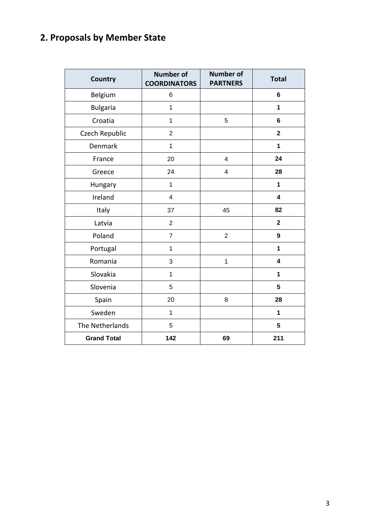## **2. Proposals by Member State**

| Country            | <b>Number of</b><br><b>COORDINATORS</b> | <b>Number of</b><br><b>PARTNERS</b> | <b>Total</b>            |
|--------------------|-----------------------------------------|-------------------------------------|-------------------------|
| Belgium            | 6                                       |                                     | $6\phantom{1}6$         |
| <b>Bulgaria</b>    | $\mathbf 1$                             |                                     | $\mathbf 1$             |
| Croatia            | $\mathbf 1$                             | 5                                   | 6                       |
| Czech Republic     | $\overline{2}$                          |                                     | $\overline{2}$          |
| Denmark            | $\mathbf 1$                             |                                     | 1                       |
| France             | 20                                      | 4                                   | 24                      |
| Greece             | 24                                      | $\overline{\mathbf{4}}$             | 28                      |
| Hungary            | $\mathbf 1$                             |                                     | 1                       |
| Ireland            | $\overline{\mathbf{4}}$                 |                                     | $\overline{\mathbf{4}}$ |
| Italy              | 37                                      | 45                                  | 82                      |
| Latvia             | $\overline{2}$                          |                                     | $\overline{\mathbf{2}}$ |
| Poland             | $\overline{7}$                          | $\overline{2}$                      | 9                       |
| Portugal           | $\mathbf 1$                             |                                     | $\overline{\mathbf{1}}$ |
| Romania            | 3                                       | $\mathbf{1}$                        | $\overline{\mathbf{4}}$ |
| Slovakia           | $\mathbf 1$                             |                                     | 1                       |
| Slovenia           | 5                                       |                                     | 5                       |
| Spain              | 20                                      | 8                                   | 28                      |
| Sweden             | $\mathbf{1}$                            |                                     | $\mathbf 1$             |
| The Netherlands    | 5                                       |                                     | 5                       |
| <b>Grand Total</b> | 142                                     | 69                                  | 211                     |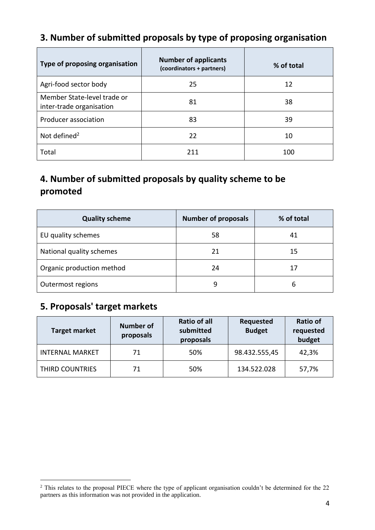#### **3. Number of submitted proposals by type of proposing organisation**

| Type of proposing organisation                          | <b>Number of applicants</b><br>(coordinators + partners) | % of total |
|---------------------------------------------------------|----------------------------------------------------------|------------|
| Agri-food sector body                                   | 25                                                       | 12         |
| Member State-level trade or<br>inter-trade organisation | 81                                                       | 38         |
| Producer association                                    | 83                                                       | 39         |
| Not defined <sup>2</sup>                                | 22                                                       | 10         |
| Total                                                   | 211                                                      | 100        |

### **4. Number of submitted proposals by quality scheme to be promoted**

| <b>Quality scheme</b>     | <b>Number of proposals</b> | % of total |
|---------------------------|----------------------------|------------|
| EU quality schemes        | 58                         | 41         |
| National quality schemes  | 21                         | 15         |
| Organic production method | 24                         | 17         |
| Outermost regions         | q                          | 6          |

#### **5. Proposals' target markets**

| <b>Target market</b>   | <b>Number of</b><br>proposals | <b>Ratio of all</b><br>submitted<br>proposals | <b>Requested</b><br><b>Budget</b> | Ratio of<br>requested<br>budget |
|------------------------|-------------------------------|-----------------------------------------------|-----------------------------------|---------------------------------|
| <b>INTERNAL MARKET</b> | 71                            | 50%                                           | 98.432.555,45                     | 42,3%                           |
| THIRD COUNTRIES        | 71                            | 50%                                           | 134.522.028                       | 57,7%                           |

<sup>&</sup>lt;sup>2</sup> This relates to the proposal PIECE where the type of applicant organisation couldn't be determined for the 22 partners as this information was not provided in the application.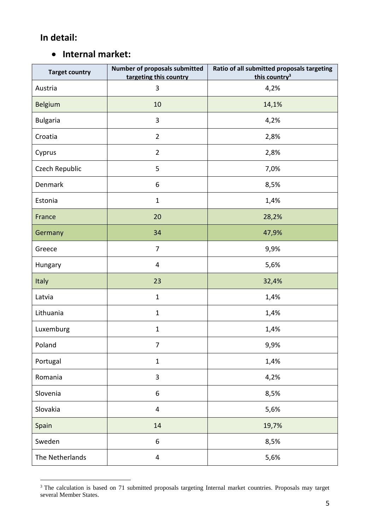#### **In detail:**

 $\overline{a}$ 

### **Internal market:**

| <b>Target country</b> | Number of proposals submitted<br>targeting this country | Ratio of all submitted proposals targeting<br>this country <sup>3</sup> |
|-----------------------|---------------------------------------------------------|-------------------------------------------------------------------------|
| Austria               | $\mathbf{3}$                                            | 4,2%                                                                    |
| Belgium               | 10                                                      | 14,1%                                                                   |
| <b>Bulgaria</b>       | $\mathbf{3}$                                            | 4,2%                                                                    |
| Croatia               | $\overline{2}$                                          | 2,8%                                                                    |
| Cyprus                | $\overline{2}$                                          | 2,8%                                                                    |
| Czech Republic        | 5                                                       | 7,0%                                                                    |
| Denmark               | 6                                                       | 8,5%                                                                    |
| Estonia               | $\mathbf 1$                                             | 1,4%                                                                    |
| France                | 20                                                      | 28,2%                                                                   |
| Germany               | 34                                                      | 47,9%                                                                   |
| Greece                | 7                                                       | 9,9%                                                                    |
| Hungary               | 4                                                       | 5,6%                                                                    |
| Italy                 | 23                                                      | 32,4%                                                                   |
| Latvia                | $\mathbf 1$                                             | 1,4%                                                                    |
| Lithuania             | $\mathbf{1}$                                            | 1,4%                                                                    |
| Luxemburg             | $\mathbf{1}$                                            | 1,4%                                                                    |
| Poland                | 7                                                       | 9,9%                                                                    |
| Portugal              | $\mathbf 1$                                             | 1,4%                                                                    |
| Romania               | 3                                                       | 4,2%                                                                    |
| Slovenia              | 6                                                       | 8,5%                                                                    |
| Slovakia              | $\overline{\mathbf{4}}$                                 | 5,6%                                                                    |
| Spain                 | 14                                                      | 19,7%                                                                   |
| Sweden                | $\boldsymbol{6}$                                        | 8,5%                                                                    |
| The Netherlands       | 4                                                       | 5,6%                                                                    |

<sup>&</sup>lt;sup>3</sup> The calculation is based on 71 submitted proposals targeting Internal market countries. Proposals may target several Member States.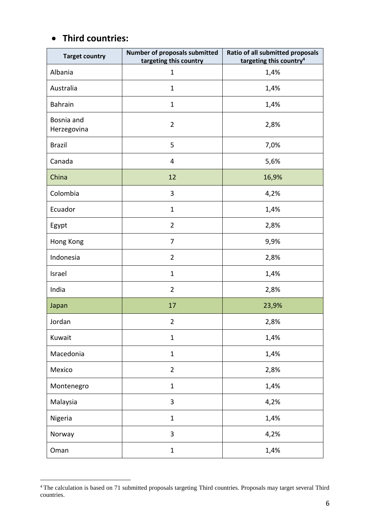#### **Third countries:**

| <b>Target country</b>     | Number of proposals submitted<br>targeting this country | Ratio of all submitted proposals<br>targeting this country <sup>4</sup> |
|---------------------------|---------------------------------------------------------|-------------------------------------------------------------------------|
| Albania                   | $\mathbf{1}$                                            | 1,4%                                                                    |
| Australia                 | $\mathbf 1$                                             | 1,4%                                                                    |
| <b>Bahrain</b>            | $\mathbf{1}$                                            | 1,4%                                                                    |
| Bosnia and<br>Herzegovina | $\overline{2}$                                          | 2,8%                                                                    |
| <b>Brazil</b>             | 5                                                       | 7,0%                                                                    |
| Canada                    | 4                                                       | 5,6%                                                                    |
| China                     | 12                                                      | 16,9%                                                                   |
| Colombia                  | 3                                                       | 4,2%                                                                    |
| Ecuador                   | $\mathbf{1}$                                            | 1,4%                                                                    |
| Egypt                     | $\overline{2}$                                          | 2,8%                                                                    |
| Hong Kong                 | 7                                                       | 9,9%                                                                    |
| Indonesia                 | $\overline{2}$                                          | 2,8%                                                                    |
| Israel                    | $\mathbf{1}$                                            | 1,4%                                                                    |
| India                     | $\overline{2}$                                          | 2,8%                                                                    |
| Japan                     | 17                                                      | 23,9%                                                                   |
| Jordan                    | $\overline{2}$                                          | 2,8%                                                                    |
| Kuwait                    | $\mathbf{1}$                                            | 1,4%                                                                    |
| Macedonia                 | $\mathbf{1}$                                            | 1,4%                                                                    |
| Mexico                    | $\overline{2}$                                          | 2,8%                                                                    |
| Montenegro                | $\mathbf{1}$                                            | 1,4%                                                                    |
| Malaysia                  | 3                                                       | 4,2%                                                                    |
| Nigeria                   | $\mathbf 1$                                             | 1,4%                                                                    |
| Norway                    | 3                                                       | 4,2%                                                                    |
| Oman                      | $\mathbf{1}$                                            | 1,4%                                                                    |

<sup>&</sup>lt;sup>4</sup> The calculation is based on 71 submitted proposals targeting Third countries. Proposals may target several Third countries.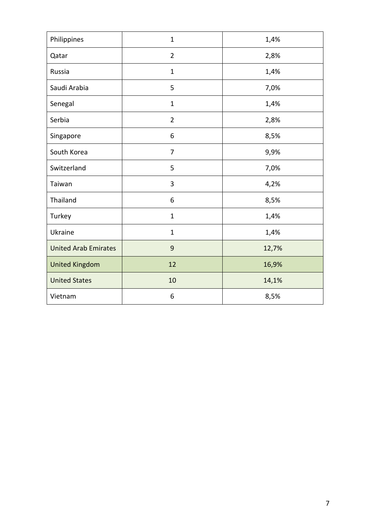| Philippines                 | $\mathbf{1}$   | 1,4%  |
|-----------------------------|----------------|-------|
| Qatar                       | $\overline{2}$ | 2,8%  |
| Russia                      | $\mathbf{1}$   | 1,4%  |
| Saudi Arabia                | 5              | 7,0%  |
| Senegal                     | $\mathbf{1}$   | 1,4%  |
| Serbia                      | $\overline{2}$ | 2,8%  |
| Singapore                   | 6              | 8,5%  |
| South Korea                 | 7              | 9,9%  |
| Switzerland                 | 5              | 7,0%  |
| Taiwan                      | 3              | 4,2%  |
| Thailand                    | 6              | 8,5%  |
| Turkey                      | $\mathbf{1}$   | 1,4%  |
| Ukraine                     | $\mathbf{1}$   | 1,4%  |
| <b>United Arab Emirates</b> | 9              | 12,7% |
| <b>United Kingdom</b>       | 12             | 16,9% |
| <b>United States</b>        | 10             | 14,1% |
| Vietnam                     | 6              | 8,5%  |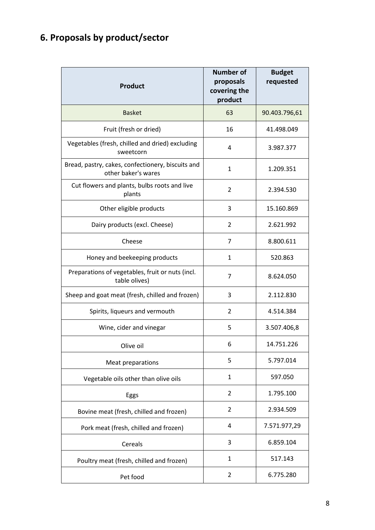## **6. Proposals by product/sector**

| <b>Product</b>                                                           | <b>Number of</b><br>proposals<br>covering the<br>product | <b>Budget</b><br>requested |
|--------------------------------------------------------------------------|----------------------------------------------------------|----------------------------|
| <b>Basket</b>                                                            | 63                                                       | 90.403.796,61              |
| Fruit (fresh or dried)                                                   | 16                                                       | 41.498.049                 |
| Vegetables (fresh, chilled and dried) excluding<br>sweetcorn             | 4                                                        | 3.987.377                  |
| Bread, pastry, cakes, confectionery, biscuits and<br>other baker's wares | $\mathbf{1}$                                             | 1.209.351                  |
| Cut flowers and plants, bulbs roots and live<br>plants                   | $\overline{2}$                                           | 2.394.530                  |
| Other eligible products                                                  | 3                                                        | 15.160.869                 |
| Dairy products (excl. Cheese)                                            | 2                                                        | 2.621.992                  |
| Cheese                                                                   | 7                                                        | 8.800.611                  |
| Honey and beekeeping products                                            | 1                                                        | 520.863                    |
| Preparations of vegetables, fruit or nuts (incl.<br>table olives)        | 7                                                        | 8.624.050                  |
| Sheep and goat meat (fresh, chilled and frozen)                          | 3                                                        | 2.112.830                  |
| Spirits, liqueurs and vermouth                                           | 2                                                        | 4.514.384                  |
| Wine, cider and vinegar                                                  | 5                                                        | 3.507.406,8                |
| Olive oil                                                                | 6                                                        | 14.751.226                 |
| Meat preparations                                                        | 5                                                        | 5.797.014                  |
| Vegetable oils other than olive oils                                     | 1                                                        | 597.050                    |
| Eggs                                                                     | $\overline{2}$                                           | 1.795.100                  |
| Bovine meat (fresh, chilled and frozen)                                  | $\overline{2}$                                           | 2.934.509                  |
| Pork meat (fresh, chilled and frozen)                                    | 4                                                        | 7.571.977,29               |
| Cereals                                                                  | 3                                                        | 6.859.104                  |
| Poultry meat (fresh, chilled and frozen)                                 | $\mathbf{1}$                                             | 517.143                    |
| Pet food                                                                 | $\overline{2}$                                           | 6.775.280                  |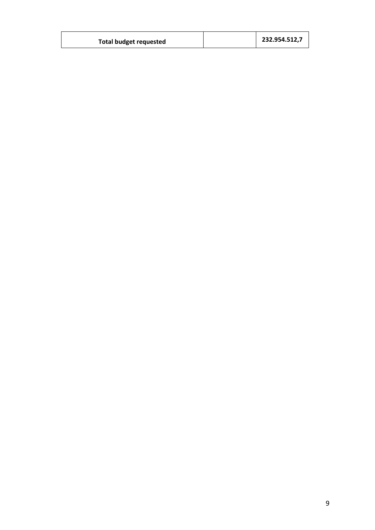| <b>Total budget requested</b> |  | 232.954.512,7 |
|-------------------------------|--|---------------|
|-------------------------------|--|---------------|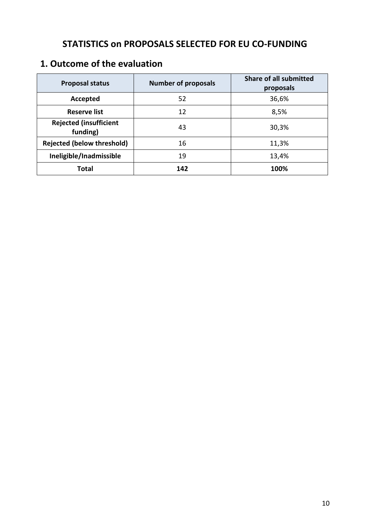### <span id="page-9-0"></span>**STATISTICS on PROPOSALS SELECTED FOR EU CO-FUNDING**

#### **1. Outcome of the evaluation**

| <b>Proposal status</b>                    | <b>Number of proposals</b> | Share of all submitted<br>proposals |
|-------------------------------------------|----------------------------|-------------------------------------|
| Accepted                                  | 52                         | 36,6%                               |
| <b>Reserve list</b>                       | 12                         | 8,5%                                |
| <b>Rejected (insufficient</b><br>funding) | 43                         | 30,3%                               |
| <b>Rejected (below threshold)</b>         | 16                         | 11,3%                               |
| Ineligible/Inadmissible                   | 19                         | 13,4%                               |
| <b>Total</b>                              | 142                        | 100%                                |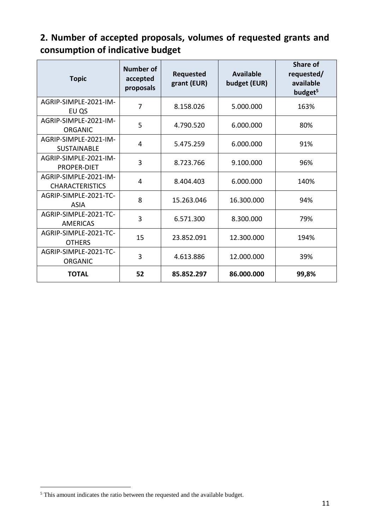### **2. Number of accepted proposals, volumes of requested grants and consumption of indicative budget**

| <b>Topic</b>                                    | <b>Number of</b><br>accepted<br>proposals | <b>Requested</b><br>grant (EUR) | Available<br>budget (EUR) | <b>Share of</b><br>requested/<br>available<br>budget <sup>5</sup> |
|-------------------------------------------------|-------------------------------------------|---------------------------------|---------------------------|-------------------------------------------------------------------|
| AGRIP-SIMPLE-2021-IM-<br>EU QS                  | 7                                         | 8.158.026                       | 5.000.000                 | 163%                                                              |
| AGRIP-SIMPLE-2021-IM-<br><b>ORGANIC</b>         | 5                                         | 4.790.520                       | 6.000.000                 | 80%                                                               |
| AGRIP-SIMPLE-2021-IM-<br><b>SUSTAINABLE</b>     | 4                                         | 5.475.259                       | 6.000.000                 | 91%                                                               |
| AGRIP-SIMPLE-2021-IM-<br><b>PROPER-DIET</b>     | 3                                         | 8.723.766                       | 9.100.000                 | 96%                                                               |
| AGRIP-SIMPLE-2021-IM-<br><b>CHARACTERISTICS</b> | 4                                         | 8.404.403                       | 6.000.000                 | 140%                                                              |
| AGRIP-SIMPLE-2021-TC-<br><b>ASIA</b>            | 8                                         | 15.263.046                      | 16.300.000                | 94%                                                               |
| AGRIP-SIMPLE-2021-TC-<br><b>AMERICAS</b>        | 3                                         | 6.571.300                       | 8.300.000                 | 79%                                                               |
| AGRIP-SIMPLE-2021-TC-<br><b>OTHERS</b>          | 15                                        | 23.852.091                      | 12.300.000                | 194%                                                              |
| AGRIP-SIMPLE-2021-TC-<br><b>ORGANIC</b>         | 3                                         | 4.613.886                       | 12.000.000                | 39%                                                               |
| <b>TOTAL</b>                                    | 52                                        | 85.852.297                      | 86.000.000                | 99,8%                                                             |

 $5$  This amount indicates the ratio between the requested and the available budget.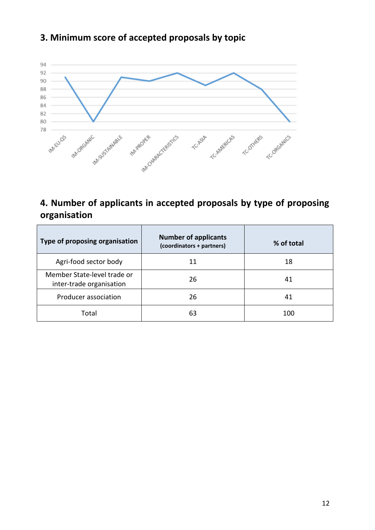### **3. Minimum score of accepted proposals by topic**



#### **4. Number of applicants in accepted proposals by type of proposing organisation**

| Type of proposing organisation                          | <b>Number of applicants</b><br>(coordinators + partners) | % of total |
|---------------------------------------------------------|----------------------------------------------------------|------------|
| Agri-food sector body                                   | 11                                                       | 18         |
| Member State-level trade or<br>inter-trade organisation | 26                                                       | 41         |
| Producer association                                    | 26                                                       | 41         |
| Total                                                   | 63                                                       | 100        |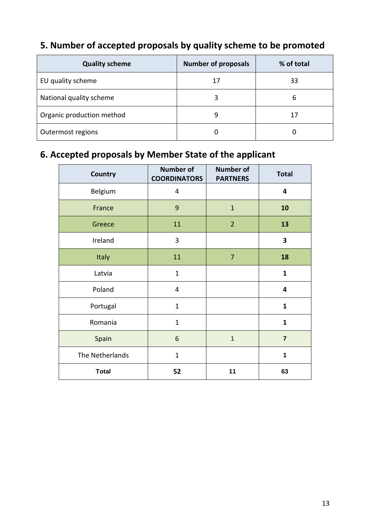| <b>Quality scheme</b>     | <b>Number of proposals</b> | % of total |
|---------------------------|----------------------------|------------|
| EU quality scheme         | 17                         | 33         |
| National quality scheme   |                            | 6          |
| Organic production method | 9                          | 17         |
| Outermost regions         |                            |            |

## **5. Number of accepted proposals by quality scheme to be promoted**

### **6. Accepted proposals by Member State of the applicant**

| Country         | <b>Number of</b><br><b>COORDINATORS</b> | <b>Number of</b><br><b>PARTNERS</b> | <b>Total</b>            |
|-----------------|-----------------------------------------|-------------------------------------|-------------------------|
| Belgium         | 4                                       |                                     | $\overline{\mathbf{4}}$ |
| France          | $\overline{9}$                          | $\mathbf{1}$                        | 10                      |
| Greece          | 11                                      | $\overline{2}$                      | 13                      |
| Ireland         | 3                                       |                                     | 3                       |
| Italy           | 11                                      | $\overline{7}$                      | 18                      |
| Latvia          | $\mathbf{1}$                            |                                     | $\mathbf{1}$            |
| Poland          | 4                                       |                                     | 4                       |
| Portugal        | $\mathbf{1}$                            |                                     | $\mathbf{1}$            |
| Romania         | $\mathbf{1}$                            |                                     | $\mathbf{1}$            |
| Spain           | 6                                       | $\mathbf{1}$                        | $\overline{7}$          |
| The Netherlands | $\mathbf{1}$                            |                                     | 1                       |
| <b>Total</b>    | 52                                      | 11                                  | 63                      |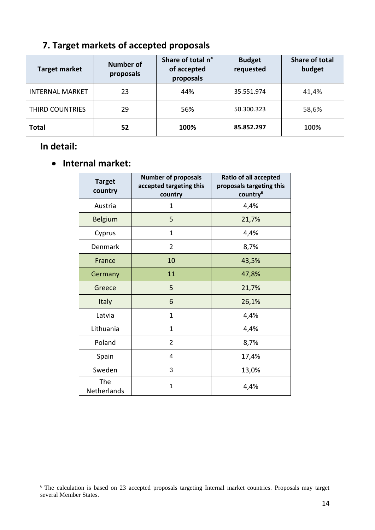### **7. Target markets of accepted proposals**

| <b>Target market</b>   | <b>Number of</b><br>proposals | Share of total n°<br>of accepted<br>proposals | <b>Budget</b><br>requested | Share of total<br>budget |
|------------------------|-------------------------------|-----------------------------------------------|----------------------------|--------------------------|
| <b>INTERNAL MARKET</b> | 23                            | 44%                                           | 35.551.974                 | 41,4%                    |
| THIRD COUNTRIES        | 29                            | 56%                                           | 50.300.323                 | 58,6%                    |
| <b>Total</b>           | 52                            | 100%                                          | 85.852.297                 | 100%                     |

#### **In detail:**

 $\overline{a}$ 

#### **Internal market:**

| <b>Target</b><br>country | <b>Number of proposals</b><br>accepted targeting this<br>country | <b>Ratio of all accepted</b><br>proposals targeting this<br>country <sup>6</sup> |
|--------------------------|------------------------------------------------------------------|----------------------------------------------------------------------------------|
| Austria                  | 1                                                                | 4,4%                                                                             |
| <b>Belgium</b>           | 5                                                                | 21,7%                                                                            |
| Cyprus                   | 1                                                                | 4,4%                                                                             |
| Denmark                  | $\overline{2}$                                                   | 8,7%                                                                             |
| France                   | 10                                                               | 43,5%                                                                            |
| Germany                  | 11                                                               | 47,8%                                                                            |
| Greece                   | 5                                                                | 21,7%                                                                            |
| <b>Italy</b>             | 6                                                                | 26,1%                                                                            |
| Latvia                   | 1                                                                | 4,4%                                                                             |
| Lithuania                | $\mathbf{1}$                                                     | 4,4%                                                                             |
| Poland                   | $\overline{2}$                                                   | 8,7%                                                                             |
| Spain                    | 4                                                                | 17,4%                                                                            |
| Sweden                   | 3                                                                | 13,0%                                                                            |
| The<br>Netherlands       | 1                                                                | 4,4%                                                                             |

<sup>&</sup>lt;sup>6</sup> The calculation is based on 23 accepted proposals targeting Internal market countries. Proposals may target several Member States.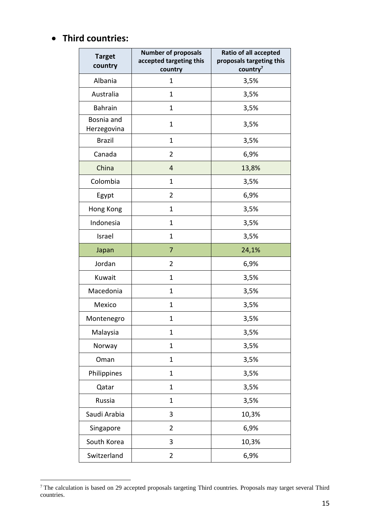#### **Third countries:**

| <b>Target</b><br>country  | <b>Number of proposals</b><br>accepted targeting this<br>country | <b>Ratio of all accepted</b><br>proposals targeting this<br>country <sup>7</sup> |
|---------------------------|------------------------------------------------------------------|----------------------------------------------------------------------------------|
| Albania                   | 1                                                                | 3,5%                                                                             |
| Australia                 | $\mathbf 1$                                                      | 3,5%                                                                             |
| <b>Bahrain</b>            | $\mathbf 1$                                                      | 3,5%                                                                             |
| Bosnia and<br>Herzegovina | $\mathbf{1}$                                                     | 3,5%                                                                             |
| <b>Brazil</b>             | $\mathbf 1$                                                      | 3,5%                                                                             |
| Canada                    | $\overline{2}$                                                   | 6,9%                                                                             |
| China                     | 4                                                                | 13,8%                                                                            |
| Colombia                  | $\mathbf 1$                                                      | 3,5%                                                                             |
| Egypt                     | 2                                                                | 6,9%                                                                             |
| Hong Kong                 | $\mathbf{1}$                                                     | 3,5%                                                                             |
| Indonesia                 | $\mathbf 1$                                                      | 3,5%                                                                             |
| Israel                    | $\mathbf{1}$                                                     | 3,5%                                                                             |
| Japan                     | 7                                                                | 24,1%                                                                            |
| Jordan                    | $\overline{2}$                                                   | 6,9%                                                                             |
| Kuwait                    | $\mathbf 1$                                                      | 3,5%                                                                             |
| Macedonia                 | 1                                                                | 3,5%                                                                             |
| Mexico                    | $\mathbf{1}$                                                     | 3,5%                                                                             |
| Montenegro                | $\mathbf 1$                                                      | 3,5%                                                                             |
| Malaysia                  | $\mathbf{1}$                                                     | 3,5%                                                                             |
| Norway                    | $\mathbf 1$                                                      | 3,5%                                                                             |
| Oman                      | $\mathbf{1}$                                                     | 3,5%                                                                             |
| Philippines               | $\mathbf{1}$                                                     | 3,5%                                                                             |
| Qatar                     | $\mathbf{1}$                                                     | 3,5%                                                                             |
| Russia                    | $\mathbf{1}$                                                     | 3,5%                                                                             |
| Saudi Arabia              | 3                                                                | 10,3%                                                                            |
| Singapore                 | $\overline{2}$                                                   | 6,9%                                                                             |
| South Korea               | 3                                                                | 10,3%                                                                            |
| Switzerland               | $\overline{2}$                                                   | 6,9%                                                                             |

 $7$  The calculation is based on 29 accepted proposals targeting Third countries. Proposals may target several Third countries.